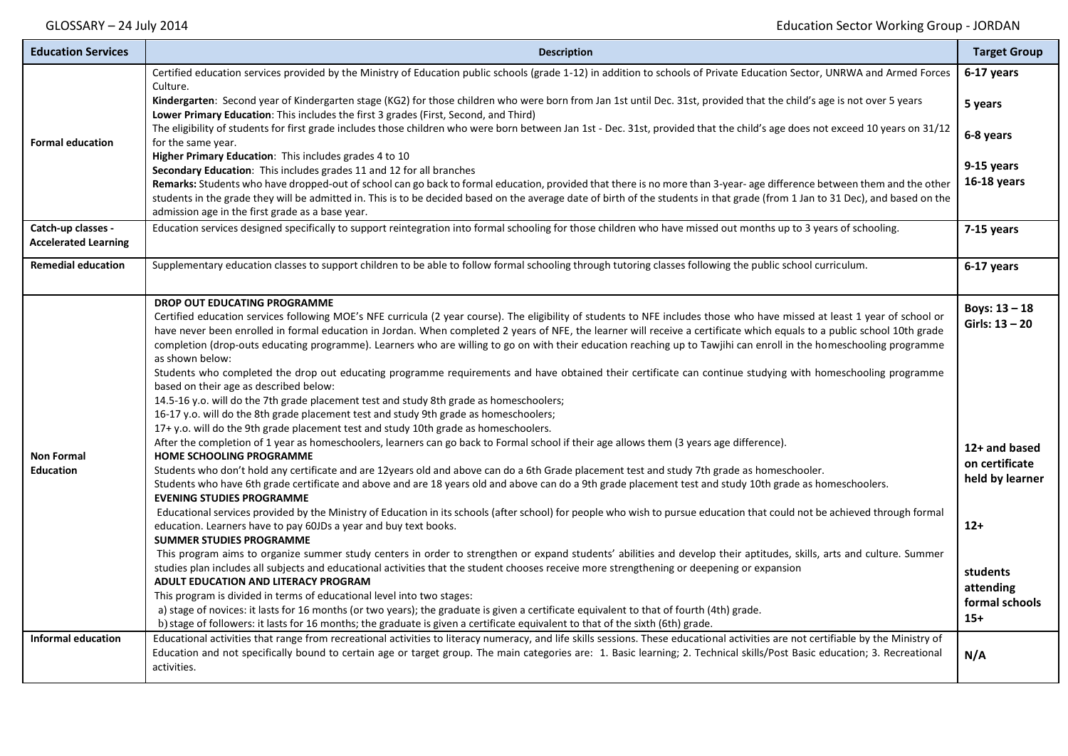| <b>Education Services</b>                         | <b>Description</b>                                                                                                                                                                                                                                                                                                                                                                                                                                                                                                                                                                                                                                                                                                                                                                                                                                                                                                                                                                                                                                                           | <b>Target Group</b>                                |
|---------------------------------------------------|------------------------------------------------------------------------------------------------------------------------------------------------------------------------------------------------------------------------------------------------------------------------------------------------------------------------------------------------------------------------------------------------------------------------------------------------------------------------------------------------------------------------------------------------------------------------------------------------------------------------------------------------------------------------------------------------------------------------------------------------------------------------------------------------------------------------------------------------------------------------------------------------------------------------------------------------------------------------------------------------------------------------------------------------------------------------------|----------------------------------------------------|
| <b>Formal education</b>                           | Certified education services provided by the Ministry of Education public schools (grade 1-12) in addition to schools of Private Education Sector, UNRWA and Armed Forces<br>Culture.<br>Kindergarten: Second year of Kindergarten stage (KG2) for those children who were born from Jan 1st until Dec. 31st, provided that the child's age is not over 5 years<br>Lower Primary Education: This includes the first 3 grades (First, Second, and Third)<br>The eligibility of students for first grade includes those children who were born between Jan 1st - Dec. 31st, provided that the child's age does not exceed 10 years on 31/12<br>for the same year.<br>Higher Primary Education: This includes grades 4 to 10<br>Secondary Education: This includes grades 11 and 12 for all branches                                                                                                                                                                                                                                                                            | 6-17 years<br>5 years<br>6-8 years<br>9-15 years   |
|                                                   | Remarks: Students who have dropped-out of school can go back to formal education, provided that there is no more than 3-year- age difference between them and the other<br>students in the grade they will be admitted in. This is to be decided based on the average date of birth of the students in that grade (from 1 Jan to 31 Dec), and based on the<br>admission age in the first grade as a base year.                                                                                                                                                                                                                                                                                                                                                                                                                                                                                                                                                                                                                                                               | 16-18 years                                        |
| Catch-up classes -<br><b>Accelerated Learning</b> | Education services designed specifically to support reintegration into formal schooling for those children who have missed out months up to 3 years of schooling.                                                                                                                                                                                                                                                                                                                                                                                                                                                                                                                                                                                                                                                                                                                                                                                                                                                                                                            | 7-15 years                                         |
| <b>Remedial education</b>                         | Supplementary education classes to support children to be able to follow formal schooling through tutoring classes following the public school curriculum.                                                                                                                                                                                                                                                                                                                                                                                                                                                                                                                                                                                                                                                                                                                                                                                                                                                                                                                   | 6-17 years                                         |
| <b>Non Formal</b><br><b>Education</b>             | <b>DROP OUT EDUCATING PROGRAMME</b><br>Certified education services following MOE's NFE curricula (2 year course). The eligibility of students to NFE includes those who have missed at least 1 year of school or<br>have never been enrolled in formal education in Jordan. When completed 2 years of NFE, the learner will receive a certificate which equals to a public school 10th grade<br>completion (drop-outs educating programme). Learners who are willing to go on with their education reaching up to Tawjihi can enroll in the homeschooling programme<br>as shown below:<br>Students who completed the drop out educating programme requirements and have obtained their certificate can continue studying with homeschooling programme<br>based on their age as described below:<br>14.5-16 y.o. will do the 7th grade placement test and study 8th grade as homeschoolers;<br>16-17 y.o. will do the 8th grade placement test and study 9th grade as homeschoolers;<br>17+ y.o. will do the 9th grade placement test and study 10th grade as homeschoolers. | Boys: $13 - 18$<br>Girls: $13 - 20$                |
|                                                   | After the completion of 1 year as homeschoolers, learners can go back to Formal school if their age allows them (3 years age difference).<br><b>HOME SCHOOLING PROGRAMME</b><br>Students who don't hold any certificate and are 12years old and above can do a 6th Grade placement test and study 7th grade as homeschooler.<br>Students who have 6th grade certificate and above and are 18 years old and above can do a 9th grade placement test and study 10th grade as homeschoolers.<br><b>EVENING STUDIES PROGRAMME</b><br>Educational services provided by the Ministry of Education in its schools (after school) for people who wish to pursue education that could not be achieved through formal                                                                                                                                                                                                                                                                                                                                                                  | 12+ and based<br>on certificate<br>held by learner |
|                                                   | education. Learners have to pay 60JDs a year and buy text books.<br><b>SUMMER STUDIES PROGRAMME</b><br>This program aims to organize summer study centers in order to strengthen or expand students' abilities and develop their aptitudes, skills, arts and culture. Summer<br>studies plan includes all subjects and educational activities that the student chooses receive more strengthening or deepening or expansion                                                                                                                                                                                                                                                                                                                                                                                                                                                                                                                                                                                                                                                  | $12+$                                              |
|                                                   | ADULT EDUCATION AND LITERACY PROGRAM<br>This program is divided in terms of educational level into two stages:<br>a) stage of novices: it lasts for 16 months (or two years); the graduate is given a certificate equivalent to that of fourth (4th) grade.<br>b) stage of followers: it lasts for 16 months; the graduate is given a certificate equivalent to that of the sixth (6th) grade.                                                                                                                                                                                                                                                                                                                                                                                                                                                                                                                                                                                                                                                                               | students<br>attending<br>formal schools<br>$15+$   |
| <b>Informal education</b>                         | Educational activities that range from recreational activities to literacy numeracy, and life skills sessions. These educational activities are not certifiable by the Ministry of<br>Education and not specifically bound to certain age or target group. The main categories are: 1. Basic learning; 2. Technical skills/Post Basic education; 3. Recreational<br>activities.                                                                                                                                                                                                                                                                                                                                                                                                                                                                                                                                                                                                                                                                                              | N/A                                                |